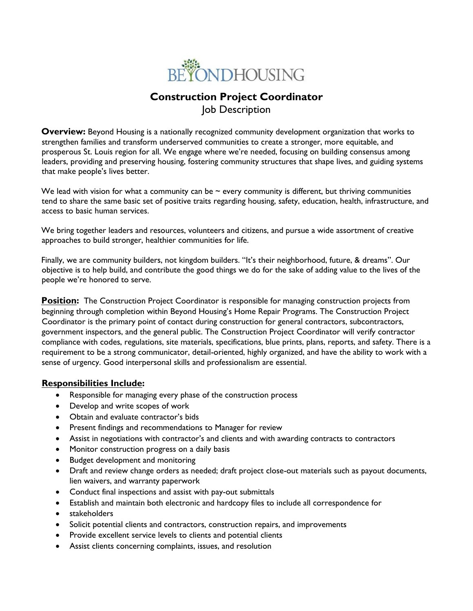

# **Construction Project Coordinator** Job Description

**Overview:** Beyond Housing is a nationally recognized community development organization that works to strengthen families and transform underserved communities to create a stronger, more equitable, and prosperous St. Louis region for all. We engage where we're needed, focusing on building consensus among leaders, providing and preserving housing, fostering community structures that shape lives, and guiding systems that make people's lives better.

We lead with vision for what a community can be  $\sim$  every community is different, but thriving communities tend to share the same basic set of positive traits regarding housing, safety, education, health, infrastructure, and access to basic human services.

We bring together leaders and resources, volunteers and citizens, and pursue a wide assortment of creative approaches to build stronger, healthier communities for life.

Finally, we are community builders, not kingdom builders. "It's their neighborhood, future, & dreams". Our objective is to help build, and contribute the good things we do for the sake of adding value to the lives of the people we're honored to serve.

**Position:** The Construction Project Coordinator is responsible for managing construction projects from beginning through completion within Beyond Housing's Home Repair Programs. The Construction Project Coordinator is the primary point of contact during construction for general contractors, subcontractors, government inspectors, and the general public. The Construction Project Coordinator will verify contractor compliance with codes, regulations, site materials, specifications, blue prints, plans, reports, and safety. There is a requirement to be a strong communicator, detail-oriented, highly organized, and have the ability to work with a sense of urgency. Good interpersonal skills and professionalism are essential.

### **Responsibilities Include:**

- Responsible for managing every phase of the construction process
- Develop and write scopes of work
- Obtain and evaluate contractor's bids
- Present findings and recommendations to Manager for review
- Assist in negotiations with contractor's and clients and with awarding contracts to contractors
- Monitor construction progress on a daily basis
- Budget development and monitoring
- Draft and review change orders as needed; draft project close-out materials such as payout documents, lien waivers, and warranty paperwork
- Conduct final inspections and assist with pay-out submittals
- Establish and maintain both electronic and hardcopy files to include all correspondence for
- stakeholders
- Solicit potential clients and contractors, construction repairs, and improvements
- Provide excellent service levels to clients and potential clients
- Assist clients concerning complaints, issues, and resolution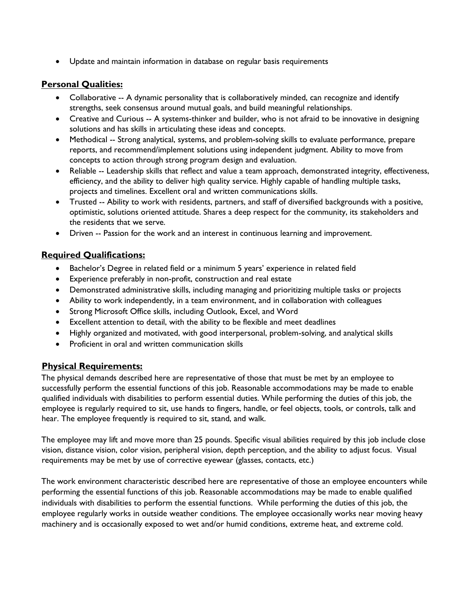• Update and maintain information in database on regular basis requirements

## **Personal Qualities:**

- Collaborative -- A dynamic personality that is collaboratively minded, can recognize and identify strengths, seek consensus around mutual goals, and build meaningful relationships.
- Creative and Curious -- A systems-thinker and builder, who is not afraid to be innovative in designing solutions and has skills in articulating these ideas and concepts.
- Methodical -- Strong analytical, systems, and problem-solving skills to evaluate performance, prepare reports, and recommend/implement solutions using independent judgment. Ability to move from concepts to action through strong program design and evaluation.
- Reliable -- Leadership skills that reflect and value a team approach, demonstrated integrity, effectiveness, efficiency, and the ability to deliver high quality service. Highly capable of handling multiple tasks, projects and timelines. Excellent oral and written communications skills.
- Trusted -- Ability to work with residents, partners, and staff of diversified backgrounds with a positive, optimistic, solutions oriented attitude. Shares a deep respect for the community, its stakeholders and the residents that we serve.
- Driven -- Passion for the work and an interest in continuous learning and improvement.

### **Required Qualifications:**

- Bachelor's Degree in related field or a minimum 5 years' experience in related field
- Experience preferably in non-profit, construction and real estate
- Demonstrated administrative skills, including managing and prioritizing multiple tasks or projects
- Ability to work independently, in a team environment, and in collaboration with colleagues
- Strong Microsoft Office skills, including Outlook, Excel, and Word
- Excellent attention to detail, with the ability to be flexible and meet deadlines
- Highly organized and motivated, with good interpersonal, problem-solving, and analytical skills
- Proficient in oral and written communication skills

# **Physical Requirements:**

The physical demands described here are representative of those that must be met by an employee to successfully perform the essential functions of this job. Reasonable accommodations may be made to enable qualified individuals with disabilities to perform essential duties. While performing the duties of this job, the employee is regularly required to sit, use hands to fingers, handle, or feel objects, tools, or controls, talk and hear. The employee frequently is required to sit, stand, and walk.

The employee may lift and move more than 25 pounds. Specific visual abilities required by this job include close vision, distance vision, color vision, peripheral vision, depth perception, and the ability to adjust focus. Visual requirements may be met by use of corrective eyewear (glasses, contacts, etc.)

The work environment characteristic described here are representative of those an employee encounters while performing the essential functions of this job. Reasonable accommodations may be made to enable qualified individuals with disabilities to perform the essential functions. While performing the duties of this job, the employee regularly works in outside weather conditions. The employee occasionally works near moving heavy machinery and is occasionally exposed to wet and/or humid conditions, extreme heat, and extreme cold.